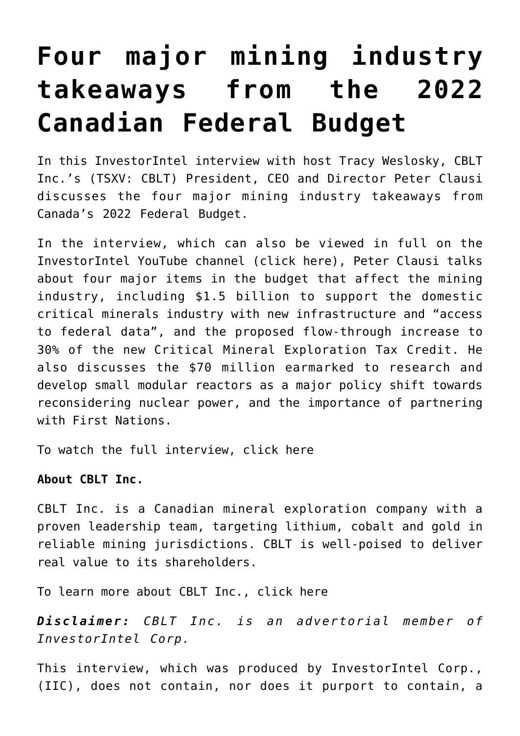## **[Four major mining industry](https://investorintel.com/investorintel-video/four-major-mining-industry-takeaways-from-the-2022-canadian-federal-budget/) [takeaways from the 2022](https://investorintel.com/investorintel-video/four-major-mining-industry-takeaways-from-the-2022-canadian-federal-budget/) [Canadian Federal Budget](https://investorintel.com/investorintel-video/four-major-mining-industry-takeaways-from-the-2022-canadian-federal-budget/)**

In this InvestorIntel interview with host Tracy Weslosky, [CBLT](https://www.cbltinc.com/index.html) [Inc.](https://www.cbltinc.com/index.html)'s (TSXV: CBLT) President, CEO and Director Peter Clausi discusses the four major mining industry takeaways from Canada's 2022 Federal Budget.

In the interview, which can also be viewed in full on the InvestorIntel YouTube channel ([click here\)](https://youtu.be/jVZRjHLv3BY), Peter Clausi talks about four major items in the budget that affect the mining industry, including \$1.5 billion to support the domestic critical minerals industry with new infrastructure and "access to federal data", and the proposed flow-through increase to 30% of the new Critical Mineral Exploration Tax Credit. He also discusses the \$70 million earmarked to research and develop small modular reactors as a major policy shift towards reconsidering nuclear power, and the importance of partnering with First Nations.

To watch the full interview, [click here](https://youtu.be/c85pp3JPLmo)

**About CBLT Inc.**

CBLT Inc. is a Canadian mineral exploration company with a proven leadership team, targeting lithium, cobalt and gold in reliable mining jurisdictions. CBLT is well-poised to deliver real value to its shareholders.

To learn more about CBLT Inc., [click here](https://www.cbltinc.com/)

*Disclaimer: CBLT Inc. is an advertorial member of InvestorIntel Corp.*

This interview, which was produced by InvestorIntel Corp., (IIC), does not contain, nor does it purport to contain, a